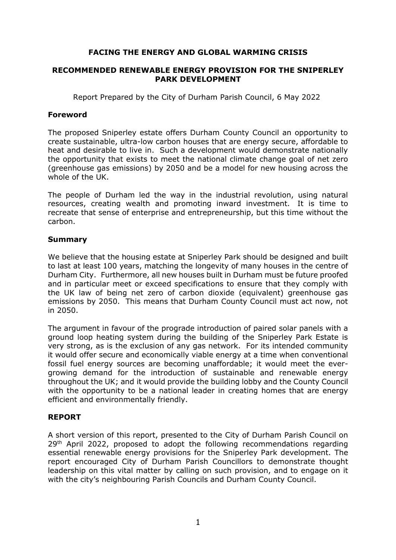## **FACING THE ENERGY AND GLOBAL WARMING CRISIS**

#### **RECOMMENDED RENEWABLE ENERGY PROVISION FOR THE SNIPERLEY PARK DEVELOPMENT**

Report Prepared by the City of Durham Parish Council, 6 May 2022

### **Foreword**

The proposed Sniperley estate offers Durham County Council an opportunity to create sustainable, ultra-low carbon houses that are energy secure, affordable to heat and desirable to live in. Such a development would demonstrate nationally the opportunity that exists to meet the national climate change goal of net zero (greenhouse gas emissions) by 2050 and be a model for new housing across the whole of the UK.

The people of Durham led the way in the industrial revolution, using natural resources, creating wealth and promoting inward investment. It is time to recreate that sense of enterprise and entrepreneurship, but this time without the carbon.

## **Summary**

We believe that the housing estate at Sniperley Park should be designed and built to last at least 100 years, matching the longevity of many houses in the centre of Durham City. Furthermore, all new houses built in Durham must be future proofed and in particular meet or exceed specifications to ensure that they comply with the UK law of being net zero of carbon dioxide (equivalent) greenhouse gas emissions by 2050. This means that Durham County Council must act now, not in 2050.

The argument in favour of the prograde introduction of paired solar panels with a ground loop heating system during the building of the Sniperley Park Estate is very strong, as is the exclusion of any gas network. For its intended community it would offer secure and economically viable energy at a time when conventional fossil fuel energy sources are becoming unaffordable; it would meet the evergrowing demand for the introduction of sustainable and renewable energy throughout the UK; and it would provide the building lobby and the County Council with the opportunity to be a national leader in creating homes that are energy efficient and environmentally friendly.

# **REPORT**

A short version of this report, presented to the City of Durham Parish Council on 29<sup>th</sup> April 2022, proposed to adopt the following recommendations regarding essential renewable energy provisions for the Sniperley Park development. The report encouraged City of Durham Parish Councillors to demonstrate thought leadership on this vital matter by calling on such provision, and to engage on it with the city's neighbouring Parish Councils and Durham County Council.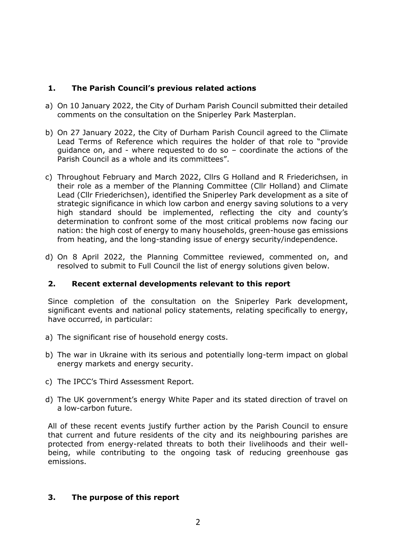## **1. The Parish Council's previous related actions**

- a) On 10 January 2022, the City of Durham Parish Council submitted their detailed comments on the consultation on the Sniperley Park Masterplan.
- b) On 27 January 2022, the City of Durham Parish Council agreed to the Climate Lead Terms of Reference which requires the holder of that role to "provide guidance on, and - where requested to do so – coordinate the actions of the Parish Council as a whole and its committees".
- c) Throughout February and March 2022, Cllrs G Holland and R Friederichsen, in their role as a member of the Planning Committee (Cllr Holland) and Climate Lead (Cllr Friederichsen), identified the Sniperley Park development as a site of strategic significance in which low carbon and energy saving solutions to a very high standard should be implemented, reflecting the city and county's determination to confront some of the most critical problems now facing our nation: the high cost of energy to many households, green-house gas emissions from heating, and the long-standing issue of energy security/independence.
- d) On 8 April 2022, the Planning Committee reviewed, commented on, and resolved to submit to Full Council the list of energy solutions given below.

## **2. Recent external developments relevant to this report**

Since completion of the consultation on the Sniperley Park development, significant events and national policy statements, relating specifically to energy, have occurred, in particular:

- a) The significant rise of household energy costs.
- b) The war in Ukraine with its serious and potentially long-term impact on global energy markets and energy security.
- c) The IPCC's Third Assessment Report.
- d) The UK government's energy White Paper and its stated direction of travel on a low-carbon future.

All of these recent events justify further action by the Parish Council to ensure that current and future residents of the city and its neighbouring parishes are protected from energy-related threats to both their livelihoods and their wellbeing, while contributing to the ongoing task of reducing greenhouse gas emissions.

## **3. The purpose of this report**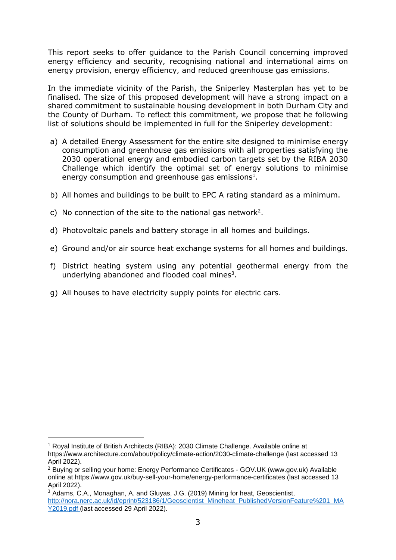This report seeks to offer guidance to the Parish Council concerning improved energy efficiency and security, recognising national and international aims on energy provision, energy efficiency, and reduced greenhouse gas emissions.

In the immediate vicinity of the Parish, the Sniperley Masterplan has yet to be finalised. The size of this proposed development will have a strong impact on a shared commitment to sustainable housing development in both Durham City and the County of Durham. To reflect this commitment, we propose that he following list of solutions should be implemented in full for the Sniperley development:

- a) A detailed Energy Assessment for the entire site designed to minimise energy consumption and greenhouse gas emissions with all properties satisfying the 2030 operational energy and embodied carbon targets set by the RIBA 2030 Challenge which identify the optimal set of energy solutions to minimise energy consumption and greenhouse gas emissions<sup>1</sup>.
- b) All homes and buildings to be built to EPC A rating standard as a minimum.
- c) No connection of the site to the national gas network<sup>2</sup>.
- d) Photovoltaic panels and battery storage in all homes and buildings.
- e) Ground and/or air source heat exchange systems for all homes and buildings.
- f) District heating system using any potential geothermal energy from the underlying abandoned and flooded coal mines<sup>3</sup>.
- g) All houses to have electricity supply points for electric cars.

 $1$  Royal Institute of British Architects (RIBA): 2030 Climate Challenge. Available online at https://www.architecture.com/about/policy/climate-action/2030-climate-challenge (last accessed 13 April 2022).

<sup>&</sup>lt;sup>2</sup> Buying or selling your home: Energy Performance Certificates - GOV.UK (www.gov.uk) Available online at https://www.gov.uk/buy-sell-your-home/energy-performance-certificates (last accessed 13 April 2022).

<sup>3</sup> Adams, C.A., Monaghan, A. and Gluyas, J.G. (2019) Mining for heat, Geoscientist, [http://nora.nerc.ac.uk/id/eprint/523186/1/Geoscientist\\_Mineheat\\_PublishedVersionFeature%201\\_MA](http://nora.nerc.ac.uk/id/eprint/523186/1/Geoscientist_Mineheat_PublishedVersionFeature%201_MAY2019.pdf) [Y2019.pdf](http://nora.nerc.ac.uk/id/eprint/523186/1/Geoscientist_Mineheat_PublishedVersionFeature%201_MAY2019.pdf) (last accessed 29 April 2022).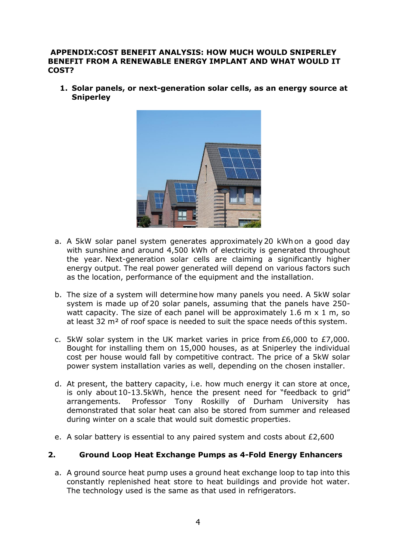#### **APPENDIX:COST BENEFIT ANALYSIS: HOW MUCH WOULD SNIPERLEY BENEFIT FROM A RENEWABLE ENERGY IMPLANT AND WHAT WOULD IT COST?**

**1. Solar panels, or next-generation solar cells, as an energy source at Sniperley**



- a. A 5kW solar panel system generates approximately 20 kWh on a good day with sunshine and around 4,500 kWh of electricity is generated throughout the year. Next-generation solar cells are claiming a significantly higher energy output. The real power generated will depend on various factors such as the location, performance of the equipment and the installation.
- b. The size of a system will determine [how many panels you need.](https://www.greenmatch.co.uk/blog/how-many-solar-panels-do-i-need) A 5kW solar system is made up of 20 solar panels, assuming that the panels have 250 watt capacity. The size of each panel will be approximately 1.6 m x 1 m, so at least 32 m<sup>2</sup> of roof space is needed to suit the space needs of this system.
- c. 5kW solar system in the UK market varies in price from £6,000 to £7,000. Bought for installing them on 15,000 houses, as at Sniperley the individual cost per house would fall by competitive contract. The price of a 5kW solar power system installation varies as well, depending on the chosen installer.
- d. At present, the battery capacity, i.e. how much energy it can store at once, is only about 10-13.5kWh, hence the present need for "feedback to grid" arrangements. Professor Tony Roskilly of Durham University has demonstrated that solar heat can also be stored from summer and released during winter on a scale that would suit domestic properties.
- e. A solar battery is essential to any paired system and costs about £2,600

## **2. Ground Loop Heat Exchange Pumps as 4-Fold Energy Enhancers**

a. A ground source heat pump uses a ground heat exchange loop to tap into this constantly replenished heat store to heat buildings and provide hot water. The technology used is the same as that used in refrigerators.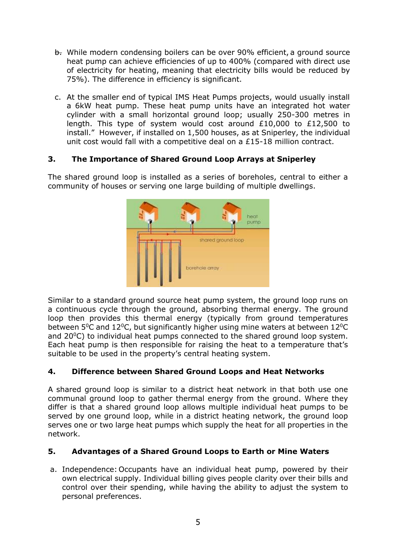- b. While modern condensing boilers can be over 90% efficient, a ground source heat pump can achieve efficiencies of up to 400% (compared with direct use of electricity for heating, meaning that electricity bills would be reduced by 75%). The difference in efficiency is significant.
- c. At the smaller end of typical IMS Heat Pumps projects, would usually install a 6kW heat pump. These heat pump units have an integrated hot water cylinder with a small horizontal ground loop; usually 250-300 metres in length. This type of system would cost around £10,000 to £12,500 to install." However, if installed on 1,500 houses, as at Sniperley, the individual unit cost would fall with a competitive deal on a £15-18 million contract.

# **3. The Importance of Shared Ground Loop Arrays at Sniperley**

The shared ground loop is installed as a series of boreholes, central to either a community of houses or serving one large building of multiple dwellings.



Similar to a standard ground source heat pump system, the ground loop runs on a continuous cycle through the ground, absorbing thermal energy. The ground loop then provides this thermal energy (typically from ground temperatures between  $5^{\circ}$ C and  $12^{\circ}$ C, but significantly higher using mine waters at between  $12^{\circ}$ C and  $20^{\circ}$ C) to individual heat pumps connected to the shared ground loop system. Each heat pump is then responsible for raising the heat to a temperature that's suitable to be used in the property's central heating system.

# **4. Difference between Shared Ground Loops and Heat Networks**

A shared ground loop is similar to a district heat network in that both use one communal ground loop to gather thermal energy from the ground. Where they differ is that a shared ground loop allows multiple individual heat pumps to be served by one ground loop, while in a district heating network, the ground loop serves one or two large heat pumps which supply the heat for all properties in the network.

# **5. Advantages of a Shared Ground Loops to Earth or Mine Waters**

a. Independence: Occupants have an individual heat pump, powered by their own electrical supply. Individual billing gives people clarity over their bills and control over their spending, while having the ability to adjust the system to personal preferences.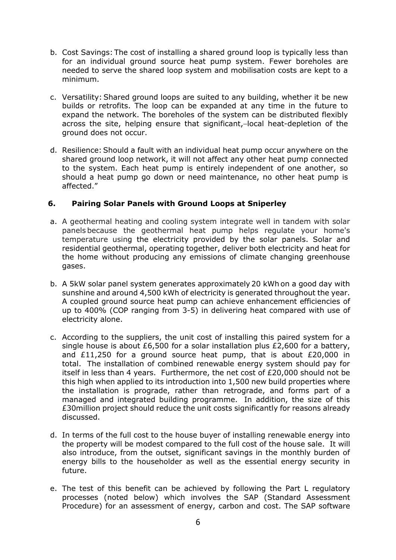- b. Cost Savings: The cost of installing a shared ground loop is typically less than for an individual ground source heat pump system. Fewer boreholes are needed to serve the shared loop system and mobilisation costs are kept to a minimum.
- c. Versatility: Shared ground loops are suited to any building, whether it be new builds or retrofits. The loop can be expanded at any time in the future to expand the network. The boreholes of the system can be distributed flexibly across the site, helping ensure that significant,-local heat-depletion of the ground does not occur.
- d. Resilience: Should a fault with an individual heat pump occur anywhere on the shared ground loop network, it will not affect any other heat pump connected to the system. Each heat pump is entirely independent of one another, so should a heat pump go down or need maintenance, no other heat pump is affected."

## **6. Pairing Solar Panels with Ground Loops at Sniperley**

- a. A geothermal heating and cooling system integrate well in tandem with solar panels because the geothermal heat pump helps regulate your home's temperature using the electricity provided by the solar panels. Solar and residential geothermal, operating together, deliver both electricity and heat for the home without producing any emissions of climate changing greenhouse gases.
- b. A 5kW solar panel system generates approximately 20 kWh on a good day with sunshine and around 4,500 kWh of electricity is generated throughout the year. A coupled ground source heat pump can achieve enhancement efficiencies of up to 400% (COP ranging from 3-5) in delivering heat compared with use of electricity alone.
- c. According to the suppliers, the unit cost of installing this paired system for a single house is about £6,500 for a solar installation plus £2,600 for a battery, and £11,250 for a ground source heat pump, that is about £20,000 in total. The installation of combined renewable energy system should pay for itself in less than 4 years. Furthermore, the net cost of £20,000 should not be this high when applied to its introduction into 1,500 new build properties where the installation is prograde, rather than retrograde, and forms part of a managed and integrated building programme. In addition, the size of this £30million project should reduce the unit costs significantly for reasons already discussed.
- d. In terms of the full cost to the house buyer of installing renewable energy into the property will be modest compared to the full cost of the house sale. It will also introduce, from the outset, significant savings in the monthly burden of energy bills to the householder as well as the essential energy security in future.
- e. The test of this benefit can be achieved by following the Part L regulatory processes (noted below) which involves the SAP (Standard Assessment Procedure) for an assessment of energy, carbon and cost. The SAP software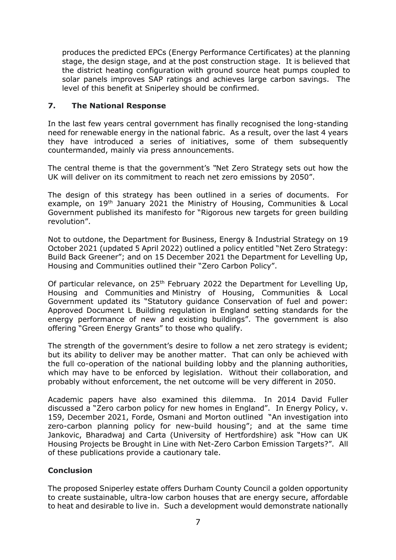produces the predicted EPCs (Energy Performance Certificates) at the planning stage, the design stage, and at the post construction stage. It is believed that the district heating configuration with ground source heat pumps coupled to solar panels improves SAP ratings and achieves large carbon savings. The level of this benefit at Sniperley should be confirmed.

## **7. The National Response**

In the last few years central government has finally recognised the long-standing need for renewable energy in the national fabric. As a result, over the last 4 years they have introduced a series of initiatives, some of them subsequently countermanded, mainly via press announcements.

The central theme is that the government's *"*Net Zero Strategy sets out how the UK will deliver on its commitment to reach net zero emissions by 2050".

The design of this strategy has been outlined in a series of documents. For example, on 19<sup>th</sup> January 2021 the Ministry of Housing, Communities & Local [Government](https://www.gov.uk/government/organisations/ministry-of-housing-communities-and-local-government) published its manifesto for "Rigorous new targets for green building revolution".

Not to outdone, the [Department for Business, Energy & Industrial Strategy](https://www.gov.uk/government/organisations/department-for-business-energy-and-industrial-strategy) on 19 October 2021 (updated 5 April 2022) outlined a policy entitled "Net Zero Strategy: Build Back Greener"; and on 15 December 2021 the Department for Levelling Up, Housing and Communities outlined their "Zero Carbon Policy".

Of particular relevance, on 25<sup>th</sup> February 2022 the Department for Levelling Up, [Housing and Communities](https://www.gov.uk/government/organisations/department-for-levelling-up-housing-and-communities) and [Ministry of Housing, Communities & Local](https://www.gov.uk/government/organisations/ministry-of-housing-communities-and-local-government)  [Government](https://www.gov.uk/government/organisations/ministry-of-housing-communities-and-local-government) updated its "Statutory guidance Conservation of fuel and power: Approved Document L Building regulation in England setting standards for the energy performance of new and existing buildings". The government is also offering "Green Energy Grants" to those who qualify.

The strength of the government's desire to follow a net zero strategy is evident; but its ability to deliver may be another matter. That can only be achieved with the full co-operation of the national building lobby and the planning authorities, which may have to be enforced by legislation. Without their collaboration, and probably without enforcement, the net outcome will be very different in 2050.

Academic papers have also examined this dilemma. In 2014 David Fuller discussed a "Zero carbon policy for new homes in England". In Energy Policy, v. 159, December 2021, [Forde, Osmani](https://www.sciencedirect.com/science/article/pii/S0301421521005218#!) and [Morton](https://www.sciencedirect.com/science/article/pii/S0301421521005218#!) outlined "An investigation into zero-carbon planning policy for new-build housing"; and at the same time Jankovic, Bharadwaj and Carta (University of Hertfordshire) ask "How can UK Housing Projects be Brought in Line with Net-Zero Carbon Emission Targets?". All of these publications provide a cautionary tale.

## **Conclusion**

The proposed Sniperley estate offers Durham County Council a golden opportunity to create sustainable, ultra-low carbon houses that are energy secure, affordable to heat and desirable to live in. Such a development would demonstrate nationally